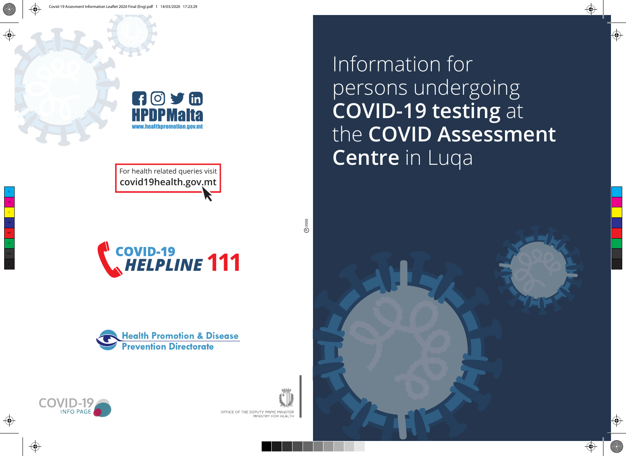

**covid19health.gov.mt**

**COVID-19**<br> *<u>AHELPLINE</u>* 111





 $②$  2020



Information for persons undergoing **COVID-19 testing** at the **COVID Assessment**  For health related queries visit